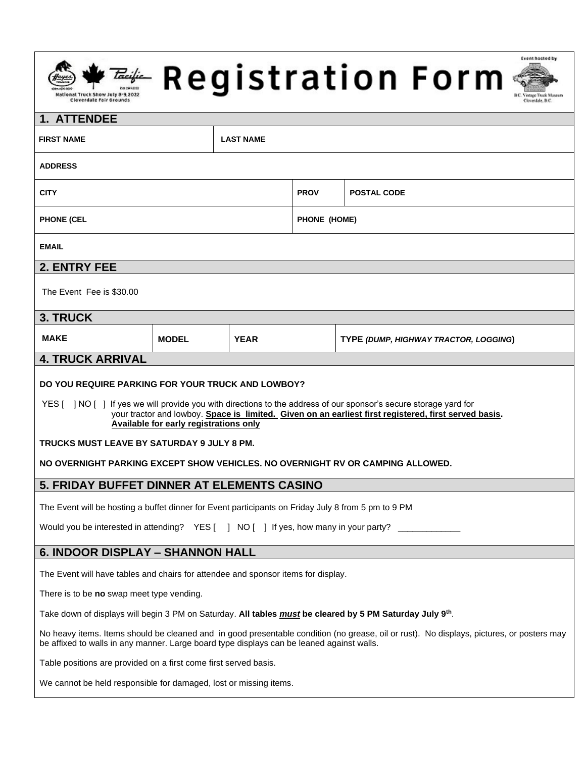# 



## **1. ATTENDEE**

| <b>FIRST NAME</b>                                                                                                                                                                                                                                                                                                                                                                                                                                                                                                                                                                                                                                                                                                                                        |              | <b>LAST NAME</b> |              |                                       |
|----------------------------------------------------------------------------------------------------------------------------------------------------------------------------------------------------------------------------------------------------------------------------------------------------------------------------------------------------------------------------------------------------------------------------------------------------------------------------------------------------------------------------------------------------------------------------------------------------------------------------------------------------------------------------------------------------------------------------------------------------------|--------------|------------------|--------------|---------------------------------------|
| <b>ADDRESS</b>                                                                                                                                                                                                                                                                                                                                                                                                                                                                                                                                                                                                                                                                                                                                           |              |                  |              |                                       |
| <b>CITY</b>                                                                                                                                                                                                                                                                                                                                                                                                                                                                                                                                                                                                                                                                                                                                              |              |                  | <b>PROV</b>  | <b>POSTAL CODE</b>                    |
| <b>PHONE (CEL</b>                                                                                                                                                                                                                                                                                                                                                                                                                                                                                                                                                                                                                                                                                                                                        |              |                  | PHONE (HOME) |                                       |
| <b>EMAIL</b>                                                                                                                                                                                                                                                                                                                                                                                                                                                                                                                                                                                                                                                                                                                                             |              |                  |              |                                       |
| 2. ENTRY FEE                                                                                                                                                                                                                                                                                                                                                                                                                                                                                                                                                                                                                                                                                                                                             |              |                  |              |                                       |
| The Event Fee is \$30.00                                                                                                                                                                                                                                                                                                                                                                                                                                                                                                                                                                                                                                                                                                                                 |              |                  |              |                                       |
| <b>3. TRUCK</b>                                                                                                                                                                                                                                                                                                                                                                                                                                                                                                                                                                                                                                                                                                                                          |              |                  |              |                                       |
| <b>MAKE</b>                                                                                                                                                                                                                                                                                                                                                                                                                                                                                                                                                                                                                                                                                                                                              | <b>MODEL</b> | <b>YEAR</b>      |              | TYPE (DUMP, HIGHWAY TRACTOR, LOGGING) |
| <b>4. TRUCK ARRIVAL</b>                                                                                                                                                                                                                                                                                                                                                                                                                                                                                                                                                                                                                                                                                                                                  |              |                  |              |                                       |
| DO YOU REQUIRE PARKING FOR YOUR TRUCK AND LOWBOY?<br>YES [ ] NO [ ] If yes we will provide you with directions to the address of our sponsor's secure storage yard for<br>your tractor and lowboy. Space is limited. Given on an earliest first registered, first served basis.<br><b>Available for early registrations only</b><br>TRUCKS MUST LEAVE BY SATURDAY 9 JULY 8 PM.<br>NO OVERNIGHT PARKING EXCEPT SHOW VEHICLES. NO OVERNIGHT RV OR CAMPING ALLOWED.<br>5. FRIDAY BUFFET DINNER AT ELEMENTS CASINO<br>The Event will be hosting a buffet dinner for Event participants on Friday July 8 from 5 pm to 9 PM<br>Would you be interested in attending? YES [ ] NO [ ] If yes, how many in your party?<br><b>6. INDOOR DISPLAY - SHANNON HALL</b> |              |                  |              |                                       |
| The Event will have tables and chairs for attendee and sponsor items for display.                                                                                                                                                                                                                                                                                                                                                                                                                                                                                                                                                                                                                                                                        |              |                  |              |                                       |
| There is to be no swap meet type vending.                                                                                                                                                                                                                                                                                                                                                                                                                                                                                                                                                                                                                                                                                                                |              |                  |              |                                       |
| Take down of displays will begin 3 PM on Saturday. All tables <i>must</i> be cleared by 5 PM Saturday July 9 <sup>th</sup> .                                                                                                                                                                                                                                                                                                                                                                                                                                                                                                                                                                                                                             |              |                  |              |                                       |
| No heavy items. Items should be cleaned and in good presentable condition (no grease, oil or rust). No displays, pictures, or posters may                                                                                                                                                                                                                                                                                                                                                                                                                                                                                                                                                                                                                |              |                  |              |                                       |
| be affixed to walls in any manner. Large board type displays can be leaned against walls.                                                                                                                                                                                                                                                                                                                                                                                                                                                                                                                                                                                                                                                                |              |                  |              |                                       |
| Table positions are provided on a first come first served basis.                                                                                                                                                                                                                                                                                                                                                                                                                                                                                                                                                                                                                                                                                         |              |                  |              |                                       |
| We cannot be held responsible for damaged, lost or missing items.                                                                                                                                                                                                                                                                                                                                                                                                                                                                                                                                                                                                                                                                                        |              |                  |              |                                       |